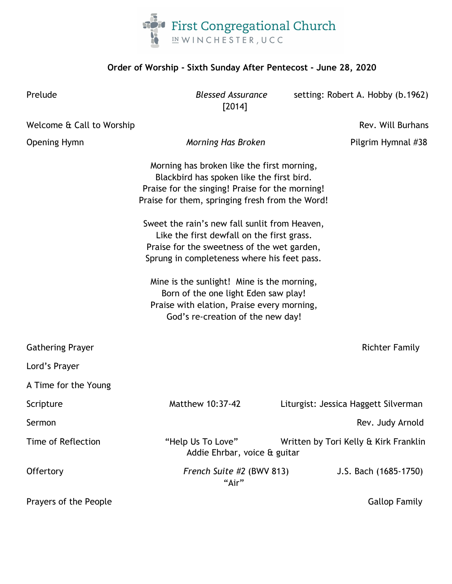

## **Order of Worship - Sixth Sunday After Pentecost - June 28, 2020**

| Prelude                   | <b>Blessed Assurance</b><br>[2014]                                                                                                                                                                                                                                                                                                                                                                                                                                                                                                                                  | setting: Robert A. Hobby (b.1962)     |
|---------------------------|---------------------------------------------------------------------------------------------------------------------------------------------------------------------------------------------------------------------------------------------------------------------------------------------------------------------------------------------------------------------------------------------------------------------------------------------------------------------------------------------------------------------------------------------------------------------|---------------------------------------|
| Welcome & Call to Worship |                                                                                                                                                                                                                                                                                                                                                                                                                                                                                                                                                                     | Rev. Will Burhans                     |
| <b>Opening Hymn</b>       | Morning Has Broken                                                                                                                                                                                                                                                                                                                                                                                                                                                                                                                                                  | Pilgrim Hymnal #38                    |
|                           | Morning has broken like the first morning,<br>Blackbird has spoken like the first bird.<br>Praise for the singing! Praise for the morning!<br>Praise for them, springing fresh from the Word!<br>Sweet the rain's new fall sunlit from Heaven,<br>Like the first dewfall on the first grass.<br>Praise for the sweetness of the wet garden,<br>Sprung in completeness where his feet pass.<br>Mine is the sunlight! Mine is the morning,<br>Born of the one light Eden saw play!<br>Praise with elation, Praise every morning,<br>God's re-creation of the new day! |                                       |
| <b>Gathering Prayer</b>   |                                                                                                                                                                                                                                                                                                                                                                                                                                                                                                                                                                     | <b>Richter Family</b>                 |
| Lord's Prayer             |                                                                                                                                                                                                                                                                                                                                                                                                                                                                                                                                                                     |                                       |
| A Time for the Young      |                                                                                                                                                                                                                                                                                                                                                                                                                                                                                                                                                                     |                                       |
| Scripture                 | Matthew 10:37-42                                                                                                                                                                                                                                                                                                                                                                                                                                                                                                                                                    | Liturgist: Jessica Haggett Silverman  |
| Sermon                    |                                                                                                                                                                                                                                                                                                                                                                                                                                                                                                                                                                     | Rev. Judy Arnold                      |
| Time of Reflection        | "Help Us To Love"<br>Addie Ehrbar, voice & guitar                                                                                                                                                                                                                                                                                                                                                                                                                                                                                                                   | Written by Tori Kelly & Kirk Franklin |
| Offertory                 | French Suite #2 (BWV 813)<br>"Air"                                                                                                                                                                                                                                                                                                                                                                                                                                                                                                                                  | J.S. Bach (1685-1750)                 |
| Prayers of the People     |                                                                                                                                                                                                                                                                                                                                                                                                                                                                                                                                                                     | <b>Gallop Family</b>                  |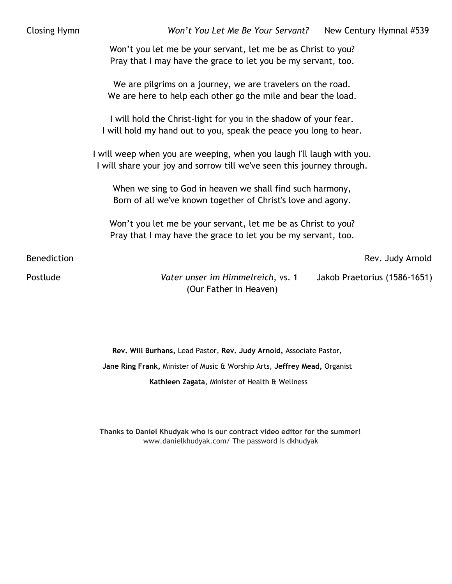| <b>Closing Hymn</b>                                                                                                                                                                                                                                                                      | Won't You Let Me Be Your Servant?<br>New Century Hymnal #539                                                                   |  |  |
|------------------------------------------------------------------------------------------------------------------------------------------------------------------------------------------------------------------------------------------------------------------------------------------|--------------------------------------------------------------------------------------------------------------------------------|--|--|
|                                                                                                                                                                                                                                                                                          | Won't you let me be your servant, let me be as Christ to you?<br>Pray that I may have the grace to let you be my servant, too. |  |  |
|                                                                                                                                                                                                                                                                                          | We are pilgrims on a journey, we are travelers on the road.<br>We are here to help each other go the mile and bear the load.   |  |  |
| I will hold the Christ-light for you in the shadow of your fear.<br>I will hold my hand out to you, speak the peace you long to hear.<br>I will weep when you are weeping, when you laugh I'll laugh with you.<br>I will share your joy and sorrow till we've seen this journey through. |                                                                                                                                |  |  |
|                                                                                                                                                                                                                                                                                          |                                                                                                                                |  |  |
| Won't you let me be your servant, let me be as Christ to you?<br>Pray that I may have the grace to let you be my servant, too.                                                                                                                                                           |                                                                                                                                |  |  |
| Benediction                                                                                                                                                                                                                                                                              | Rev. Judy Arnold                                                                                                               |  |  |
| Postlude                                                                                                                                                                                                                                                                                 | Vater unser im Himmelreich, vs. 1<br>Jakob Praetorius (1586-1651)<br>(Our Father in Heaven)                                    |  |  |

**Rev. Will Burhans,** Lead Pastor, **Rev. Judy Arnold,** Associate Pastor, **Jane Ring Frank,** Minister of Music & Worship Arts, **Jeffrey Mead,** Organist

**Kathleen Zagata**, Minister of Health & Wellness

**Thanks to Daniel Khudyak who is our contract video editor for the summer!** www.danielkhudyak.com/ The password is dkhudyak